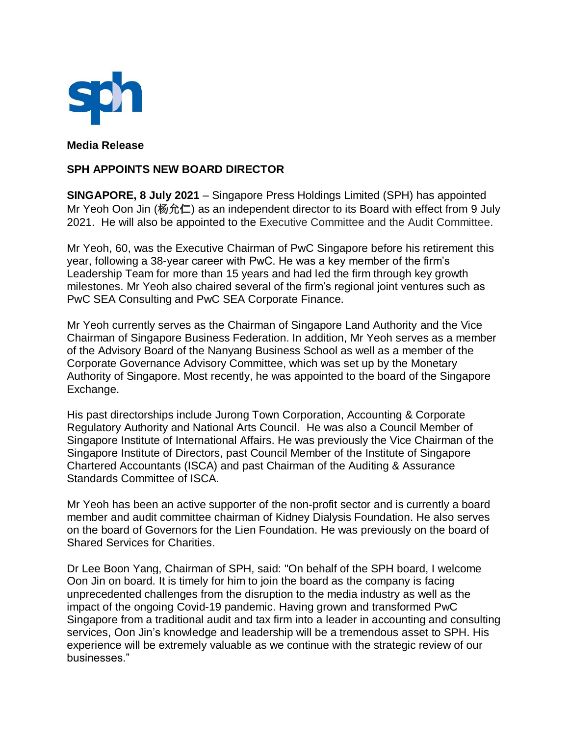

**Media Release**

## **SPH APPOINTS NEW BOARD DIRECTOR**

**SINGAPORE, 8 July 2021** – Singapore Press Holdings Limited (SPH) has appointed Mr Yeoh Oon Jin (杨允仁) as an independent director to its Board with effect from 9 July 2021. He will also be appointed to the Executive Committee and the Audit Committee.

Mr Yeoh, 60, was the Executive Chairman of PwC Singapore before his retirement this year, following a 38-year career with PwC. He was a key member of the firm's Leadership Team for more than 15 years and had led the firm through key growth milestones. Mr Yeoh also chaired several of the firm's regional joint ventures such as PwC SEA Consulting and PwC SEA Corporate Finance.

Mr Yeoh currently serves as the Chairman of Singapore Land Authority and the Vice Chairman of Singapore Business Federation. In addition, Mr Yeoh serves as a member of the Advisory Board of the Nanyang Business School as well as a member of the Corporate Governance Advisory Committee, which was set up by the Monetary Authority of Singapore. Most recently, he was appointed to the board of the Singapore Exchange.

His past directorships include Jurong Town Corporation, Accounting & Corporate Regulatory Authority and National Arts Council. He was also a Council Member of Singapore Institute of International Affairs. He was previously the Vice Chairman of the Singapore Institute of Directors, past Council Member of the Institute of Singapore Chartered Accountants (ISCA) and past Chairman of the Auditing & Assurance Standards Committee of ISCA.

Mr Yeoh has been an active supporter of the non-profit sector and is currently a board member and audit committee chairman of Kidney Dialysis Foundation. He also serves on the board of Governors for the Lien Foundation. He was previously on the board of Shared Services for Charities.

Dr Lee Boon Yang, Chairman of SPH, said: "On behalf of the SPH board, I welcome Oon Jin on board. It is timely for him to join the board as the company is facing unprecedented challenges from the disruption to the media industry as well as the impact of the ongoing Covid-19 pandemic. Having grown and transformed PwC Singapore from a traditional audit and tax firm into a leader in accounting and consulting services, Oon Jin's knowledge and leadership will be a tremendous asset to SPH. His experience will be extremely valuable as we continue with the strategic review of our businesses."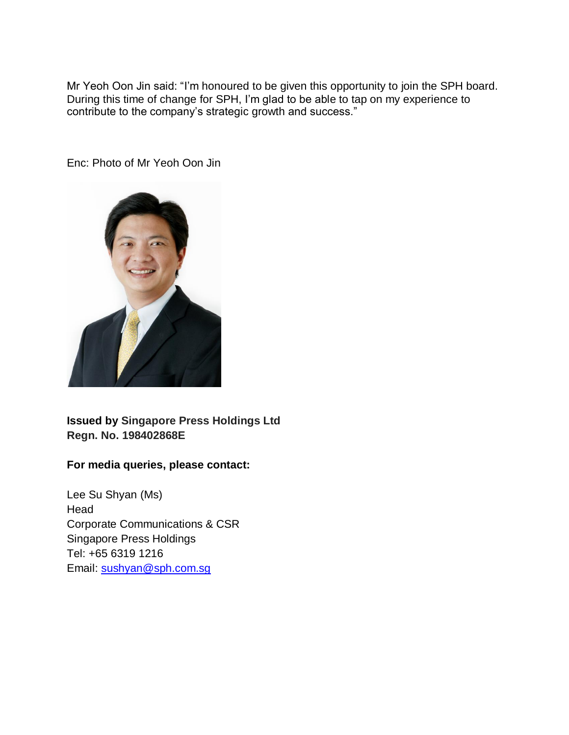Mr Yeoh Oon Jin said: "I'm honoured to be given this opportunity to join the SPH board. During this time of change for SPH, I'm glad to be able to tap on my experience to contribute to the company's strategic growth and success."

Enc: Photo of Mr Yeoh Oon Jin



**Issued by Singapore Press Holdings Ltd Regn. No. 198402868E**

## **For media queries, please contact:**

Lee Su Shyan (Ms) Head Corporate Communications & CSR Singapore Press Holdings Tel: +65 6319 1216 Email: [sushyan@sph.com.sg](mailto:sushyan@sph.com.sg)